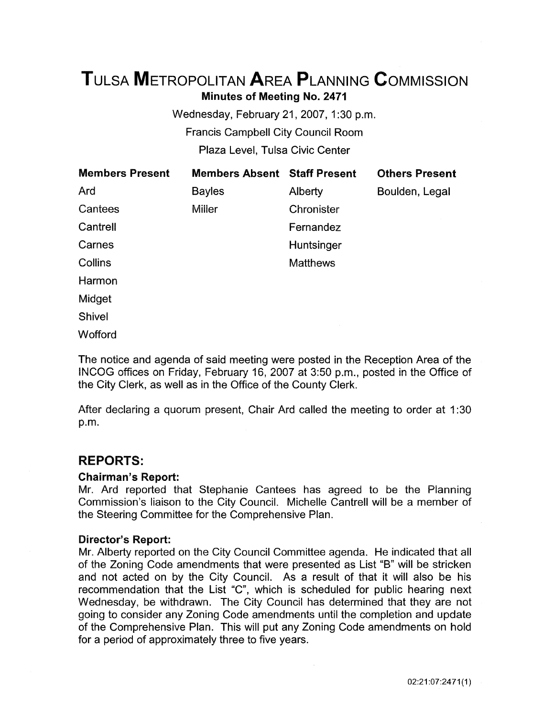# TuLsA METROPOLITAN AREA PLANNING CoMMISSION Minutes of Meeting No. 2471

Wednesday, February 21, 2007, 1:30 p.m. Francis Campbell City Council Room Plaza Level, Tulsa Civic Center

| <b>Members Present</b> | <b>Members Absent Staff Present</b> |                 | <b>Others Present</b> |
|------------------------|-------------------------------------|-----------------|-----------------------|
| Ard                    | <b>Bayles</b>                       | Alberty         | Boulden, Legal        |
| Cantees                | <b>Miller</b>                       | Chronister      |                       |
| Cantrell               |                                     | Fernandez       |                       |
| Carnes                 |                                     | Huntsinger      |                       |
| <b>Collins</b>         |                                     | <b>Matthews</b> |                       |
| Harmon                 |                                     |                 |                       |
| Midget                 |                                     |                 |                       |
| <b>Shivel</b>          |                                     |                 |                       |
| Wofford                |                                     |                 |                       |

The notice and agenda of said meeting were posted in the Reception Area of the  $\blacksquare$  NCOG offices on Friday, February 16, 2007 at 3:50 p.m., posted in the Office of the City Clerk, as well as in the Office of the County Clerk.

After declaring a quorum present, Chair Ard called the meeting to order at 1 :30 p.m.

# REPORTS:

#### Chairman's Report:

Mr. Ard reported that Stephanie Cantees has agreed to be the Planning Commission's liaison to the City Council. Michelle Cantrell will be a member of the Steering Committee for the Comprehensive Plan.

#### Director's Report:

Mr. Alberty reported on the City Council Committee agenda. He indicated that all of the Zoning Code amendments that were presented as List "B" will be stricken and not acted on by the City Council. As a result of that it will also be his recommendation that the List "C", which is scheduled for public hearing next Wednesday, be withdrawn. The City Council has determined that they are not going to consider any Zoning Code amendments until the completion and update of the Comprehensive Plan. This will put any Zoning Code amendments on hold for a period of approximately three to five years.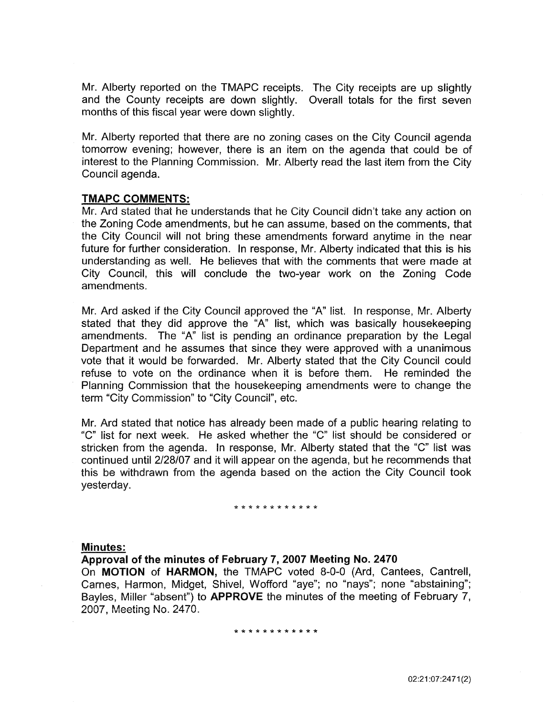Mr. Alberty reported on the TMAPC receipts. The City receipts are up slightly and the County receipts are down slightly. Overall totals for the first seven months of this fiscal year were down slightly.

Mr. Alberty reported that there are no zoning cases on the City Council agenda tomorrow evening; however, there is an item on the agenda that could be of interest to the Planning Commission. Mr. Alberty read the last item from the City Council agenda.

#### TMAPC COMMENTS:

Mr. Ard stated that he understands that he City Council didn't take any action on the Zoning Code amendments, but he can assume, based on the comments, that the City Council will not bring these amendments forward anytime in the near future for further consideration. In response, Mr. Alberty indicated that this is his understanding as well. He believes that with the comments that were made at City Council, this will conclude the two-year work on the Zoning Code amendments.

Mr. Ard asked if the City Council approved the "A" list. In response, Mr. Alberty stated that they did approve the "A" list, which was basically housekeeping amendments. The "A" list is pending an ordinance preparation by the Legal Department and he assumes that since they were approved with a unanimous vote that it would be forwarded. Mr. Alberty stated that the City Council could refuse to vote on the ordinance when it is before them. He reminded the Planning Commission that the housekeeping amendments were to change the term "City Commission" to "City Council", etc.

Mr. Ard stated that notice has already been made of a public hearing relating to "C" list for next week. He asked whether the "C" !ist should be considered or stricken from the agenda. In response, Mr. Alberty stated that the "C" list was continued until 2/28/07 and it will appear on the agenda, but he recommends that this be withdrawn from the agenda based on the action the City Council took yesterday.

#### \*\*\*\*\*\*\*\*\*\*\*\*

#### Minutes:

Approval of the minutes of February 7, 2007 Meeting No. 2470

On MOTION of HARMON, the TMAPC voted 8-0-0 (Ard, Cantees, Cantrell, Carnes, Harmon, Midget, Shive!, Wofford "aye"; no "nays"; none "abstaining"; Bayles, Miller "absent") to APPROVE the minutes of the meeting of February 7, 2007, Meeting No. 2470.

#### \*\*\*\*\*\*\*\*\*\*\*\*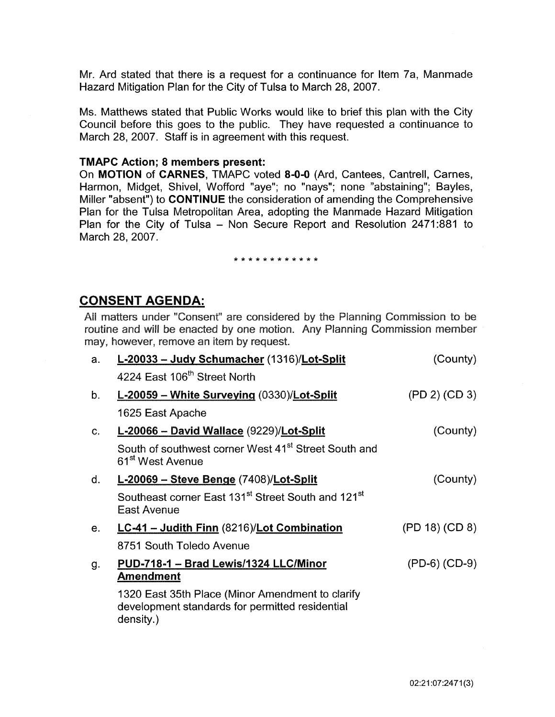Mr. Ard stated that there is a request for a continuance for Item ?a, Manmade Hazard Mitigation Plan for the City of Tulsa to March 28, 2007.

Ms. Matthews stated that Public Works would like to brief this plan with the City Council before this goes to the public. They have requested a continuance to March 28, 2007. Staff is in agreement with this request.

#### TMAPC Action; 8 members present:

On MOTION of CARNES, TMAPC voted 8-0-0 (Ard, Cantees, Cantrell, Carnes, Harmon, Midget, Shivel, Wofford "aye"; no "nays"; none "abstaining"; Bayles, Miller "absent") to CONTINUE the consideration of amending the Comprehensive Plan for the Tulsa Metropoiitan Area, adopting the Manmade Hazard Mitigation Plan for the City of Tulsa - Non Secure Report and Resolution 2471:881 to March 28, 2007.

#### \*\*\*\*\*\*\*\*\*\*\*\*

# CONSENT AGENDA:

Ail matters under "Consent" are considered by the Pianning Commission to be routine and will be enacted by one motion. Any Planning Commission member may, however, remove an item by request.

| a.          | L-20033 - Judy Schumacher (1316)/Lot-Split                                                                       | (County)        |
|-------------|------------------------------------------------------------------------------------------------------------------|-----------------|
|             | 4224 East 106 <sup>th</sup> Street North                                                                         |                 |
| $b_{\cdot}$ | L-20059 - White Surveying (0330)/Lot-Split                                                                       | (PD 2) (CD 3)   |
|             | 1625 East Apache                                                                                                 |                 |
| C.          | L-20066 - David Wallace (9229)/Lot-Split                                                                         | (County)        |
|             | South of southwest corner West 41 <sup>st</sup> Street South and<br>61 <sup>st</sup> West Avenue                 |                 |
| d.          | L-20069 - Steve Benge (7408)/Lot-Split                                                                           | (County)        |
|             | Southeast corner East 131 <sup>st</sup> Street South and 121 <sup>st</sup><br><b>East Avenue</b>                 |                 |
| $e_{1}$     | LC-41 - Judith Finn (8216)/Lot Combination                                                                       | (PD 18) (CD 8)  |
|             | 8751 South Toledo Avenue                                                                                         |                 |
| g.          | PUD-718-1 - Brad Lewis/1324 LLC/Minor<br><u>Amendment</u>                                                        | $(PD-6) (CD-9)$ |
|             | 1320 East 35th Place (Minor Amendment to clarify<br>development standards for permitted residential<br>density.) |                 |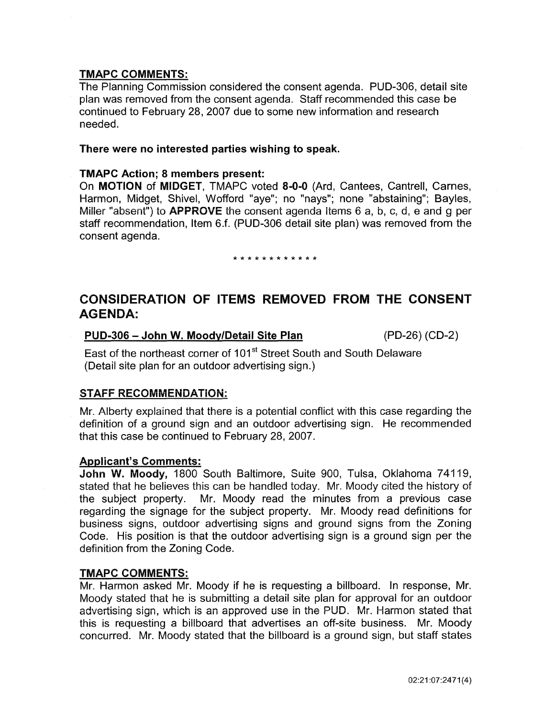The Planning Commission considered the consent agenda. PUD-306, detail site plan was removed from the consent agenda. Staff recommended this case be continued to February 28, 2007 due to some new information and research needed.

#### There were no interested parties wishing to speak.

#### TMAPC Action; 8 members present:

On MOTION of MIDGET, TMAPC voted 8-0-0 (Ard, Cantees, Cantrell, Carnes, Harmon, Midget, Shivel, Wofford "aye"; no "nays"; none "abstaining"; Bayles, Miller "absent") to **APPROVE** the consent agenda items 6 a, b, c, d, e and g per staff recommendation, Item 6.f. (PUD-306 detail site plan) was removed from the consent agenda.

#### \*\*\*\*\*\*\*\*\*\*\*\*

# CONSIDERATION OF ITEMS REMOVED FROM THE CONSENT AGENDA:

#### PUD-306 -John W. Moody/Detail Site Plan (PD-26) (CD-2)

East of the northeast corner of 101<sup>st</sup> Street South and South Delaware (Detail site plan for an outdoor advertising sign.)

### STAFF RECOMMENDATION:

Mr. Alberty explained that there is a potential conflict with this case regarding the definition of a ground sign and an outdoor advertising sign. He recommended that this case be continued to February 28, 2007.

### Applicant's Comments:

John W. Moody, 1800 South Baltimore, Suite 900, Tulsa, Oklahoma 74119, stated that he believes this can be handled today. Mr. Moody cited the history of the subject property. Mr. Moody read the minutes from a previous case regarding the signage for the subject property. Mr. Moody read definitions for business signs, outdoor advertising signs and ground signs from the Zoning Code. His position is that the outdoor advertising sign is a ground sign per the definition from the Zoning Code.

### TMAPC COMMENTS:

Mr. Harmon asked Mr. Moody if he is requesting a billboard. In response, Mr. Moody stated that he is submitting a detail site plan for approval for an outdoor advertising sign, which is an approved use in the PUD. Mr. Harmon stated that this is requesting a billboard that advertises an off-site business. Mr. Moody concurred. Mr. Moody stated that the billboard is a ground sign, but staff states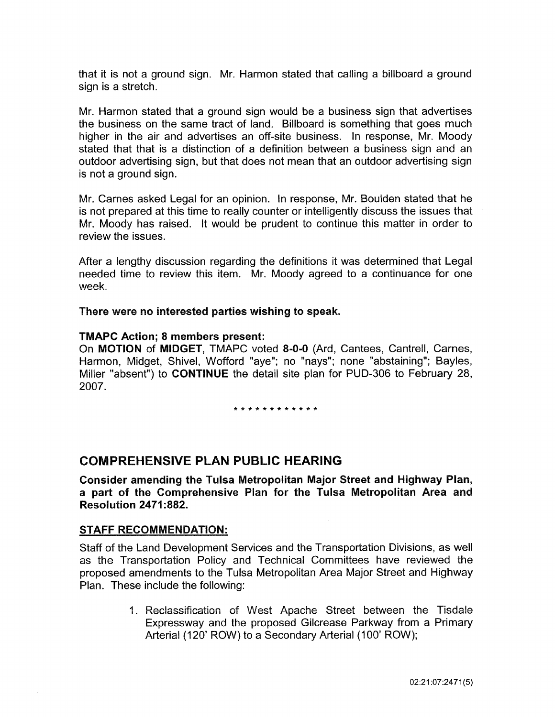that it is not a ground sign. Mr. Harmon stated that calling a billboard a ground sign is a stretch.

Mr. Harmon stated that a ground sign would be a business sign that advertises the business on the same tract of land. Billboard is something that goes much higher in the air and advertises an off-site business. In response, Mr. Moody stated that that is a distinction of a definition between a business sign and an outdoor advertising sign, but that does not mean that an outdoor advertising sign is not a ground sign.

Mr. Carnes asked Legal for an opinion. In response, Mr. Boulden stated that he is not prepared at this time to really counter or intelligently discuss the issues that Mr. Moody has raised. It would be prudent to continue this matter in order to review the issues.

After a lengthy discussion regarding the definitions it was determined that Legal needed time to review this item. Mr. Moody agreed to a continuance for one week.

There were no interested parties wishing to speak.

#### TMAPC Action; 8 members present:

On MOTION of MIDGET, TMAPC voted 8-0-0 (Ard, Cantees, Cantrell, Carnes, Harmon, Midget, Shivel, Wofford "aye"; no "nays"; none "abstaining"; Bayles, Miller "absent") to CONTINUE the detail site plan for PUD-306 to February 28, 2007.

\*\*\*\*\*\*\*\*\*\*\*\*

# COMPREHENSIVE PLAN PUBLIC HEARING

Consider amending the Tulsa Metropolitan Major Street and Highway Plan, a part of the Comprehensive Plan for the Tulsa Metropolitan Area and Resolution 2471:882.

#### STAFF RECOMMENDATION:

Staff of the Land Development Services and the Transportation Divisions, as well as the Transportation Policy and Technical Committees have reviewed the proposed amendments to the Tulsa Metropolitan Area Major Street and Highway Plan. These include the following:

> 1. Reclassification of West Apache Street between the Tisdale Expressway and the proposed Gilcrease Parkway from a Primary Arterial (120' ROW) to a Secondary Arterial (100' ROW);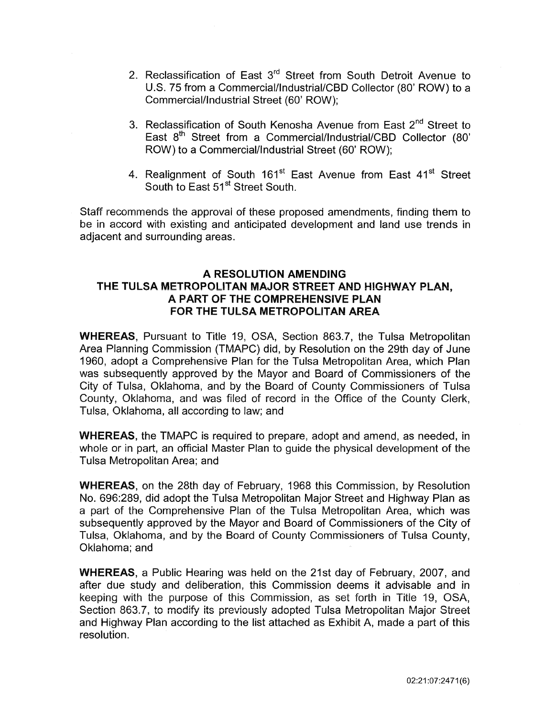- 2. Reclassification of East 3<sup>rd</sup> Street from South Detroit Avenue to U.S. 75 from a Commercial/lndustriai/CBD Collector (80' ROW) to a Commercial/Industrial Street (60' ROW);
- 3. Reclassification of South Kenosha Avenue from East 2<sup>nd</sup> Street to East 8<sup>th</sup> Street from a Commercial/Industrial/CBD Collector (80' ROW) to a Commercial/Industrial Street (60' ROW);
- 4. Realignment of South 161<sup>st</sup> East Avenue from East 41<sup>st</sup> Street South to East 51<sup>st</sup> Street South.

Staff recommends the approval of these proposed amendments, finding them to be in accord with existing and anticipated development and land use trends in adjacent and surrounding areas.

# A RESOLUTION AMENDING THE TULSA METROPOLITAN MAJOR STREET AND HIGHWAY PLAN, A PART OF THE COMPREHENSIVE PLAN FOR THE TULSA METROPOLITAN AREA

WHEREAS, Pursuant to Title 19, OSA, Section 863.7, the Tulsa Metropolitan Area Planning Commission (TMAPC) did, by Resolution on the 29th day of June 1960, adopt a Comprehensive Plan for the Tulsa Metropolitan Area, which Plan was subsequently approved by the Mayor and Board of Commissioners of the City of Tulsa, Oklahoma, and by the Board of County Commissioners of Tulsa County, Oklahoma, and was filed of record in the Office of the County Clerk, Tulsa, Oklahoma, all according to law; and

WHEREAS, the TMAPC is required to prepare, adopt and amend, as needed, in whole or in part, an official Master Plan to guide the physical development of the Tulsa Metropolitan Area; and

WHEREAS, on the 28th day of February, 1968 this Commission, by Resolution No. 696:289, did adopt the Tulsa Metropolitan Major Street and Highway Plan as a part of the Comprehensive Plan of the Tulsa Metropolitan Area, which was subsequently approved by the Mayor and Board of Commissioners of the City of Tulsa, Oklahoma, and by the Board of County Commissioners of Tulsa County, Oklahoma; and

WHEREAS, a Public Hearing was held on the 21st day of February, 2007, and after due study and deliberation, this Commission deems it advisable and in keeping with the purpose of this Commission, as set forth in Titie 19, OSA, Section 863.7, to modify its previously adopted Tulsa Metropolitan Major Street and Highway Plan according to the list attached as Exhibit A, made a part of this resolution.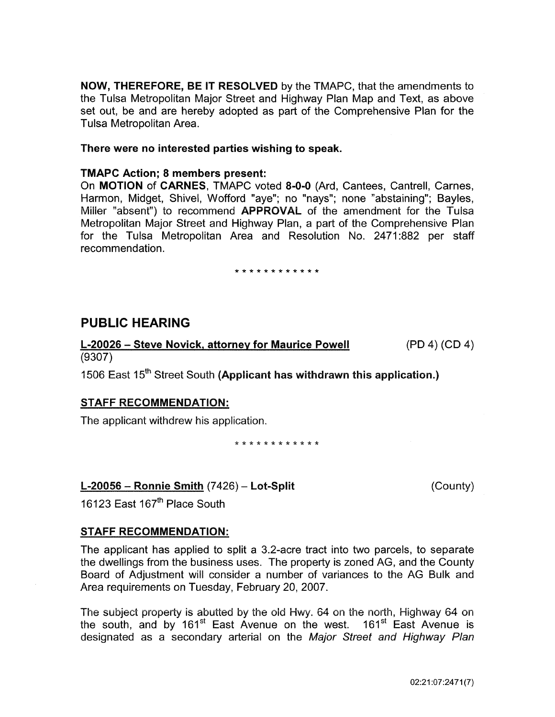NOW, THEREFORE, BE IT RESOLVED by the TMAPC, that the amendments to the Tulsa Metropolitan Major Street and Highway Plan Map and Text, as above set out, be and are hereby adopted as part of the Comprehensive Plan for the Tulsa Metropolitan Area.

#### There were no interested parties wishing to speak.

#### TMAPC Action; 8 members present:

On MOTION of CARNES, TMAPC voted 8-0-0 (Ard, Cantees, Cantrell, Carnes, Harmon, Midget, Shivel, Wofford "aye"; no "nays"; none "abstaining"; Bayles, Miller "absent") to recommend **APPROVAL** of the amendment for the Tulsa Metropolitan Major Street and Highway Plan, a part of the Comprehensive Plan for the Tulsa Metropolitan Area and Resolution No. 2471:882 per staff recommendation.

\* \* \* \* \* \* \* \* \* \* \* \*

# PUBLIC HEARING

L-20026 – Steve Novick, attorney for Maurice Powell (PD 4) (CD 4) (9307)

1506 East 15<sup>th</sup> Street South (Applicant has withdrawn this application.)

### STAFF RECOMMENDATION:

The applicant withdrew his application.

\*\*\*\*\*\*\*\*\*\*\*\*

### $L-20056$  – Ronnie Smith  $(7426)$  – Lot-Split

(County)

16123 East 167<sup>th</sup> Place South

### STAFF RECOMMENDATION:

The applicant has applied to split a 3.2-acre tract into two parcels, to separate the dwellings from the business uses. The property is zoned AG, and the County Board of Adjustment will consider a number of variances to the AG Bulk and Area requirements on Tuesday, February 20, 2007.

The subject property is abutted by the old Hwy. 64 on the north, Highway 64 on the south, and by 161 $^{\text{st}}$  East Avenue on the west. 161 $^{\text{st}}$  East Avenue is designated as a secondary arterial on the Major Street and Highway Plan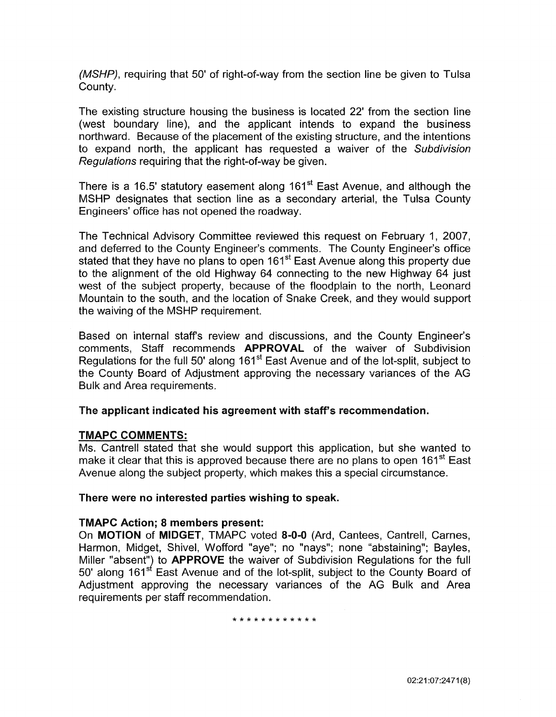(MSHP), requiring that 50' of right-of-way from the section line be given to Tulsa County.

The existing structure housing the business is located 22' from the section line (west boundary line), and the applicant intends to expand the business northward. Because of the placement of the existing structure, and the intentions to expand north, the applicant has requested a waiver of the Subdivision Regulations requiring that the right-of-way be given.

There is a 16.5' statutory easement along 161<sup>st</sup> East Avenue, and although the MSHP designates that section line as a secondary arterial, the Tulsa County Engineers' office has not opened the roadway.

The Technical Advisory Committee reviewed this request on February 1, 2007, and deferred to the County Engineer's comments. The County Engineer's office stated that they have no plans to open 161<sup>st</sup> East Avenue along this property due to the alignment of the old Highway 64 connecting to the new Highway 64 just west of the subject property, because of the floodplain to the north, Leonard Mountain to the south, and the location of Snake Creek, and they would support the waiving of the MSHP requirement.

Based on internal staff's review and discussions, and the County Engineer's comments, Staff recommends APPROVAL of the waiver of Subdivision Regulations for the full 50' along 161<sup>st</sup> East Avenue and of the lot-split, subject to the County Board of Adjustment approving the necessary variances of the AG Bulk and Area requirements.

#### The applicant indicated his agreement with staff's recommendation.

### TMAPC COMMENTS:

Ms. Cantrell stated that she would support this application, but she wanted to make it clear that this is approved because there are no plans to open  $161<sup>st</sup>$  East Avenue along the subject property, which makes this a special circumstance.

#### There were no interested parties wishing to speak.

#### TMAPC Action; 8 members present:

On MOTION of MIDGET, TMAPC voted 8-0-0 (Ard, Cantees, Cantrell, Carnes, Harmon, Midget, Shivel, Wofford "aye"; no "nays"; none "abstaining"; Bayles, Miller "absent") to **APPROVE** the waiver of Subdivision Regulations for the full 50' along 161<sup>st</sup> East Avenue and of the lot-split, subject to the County Board of Adjustment approving the necessary variances of the AG Bulk and Area requirements per staff recommendation.

\*\*\*\*\*\*\*\*\*\*\*\*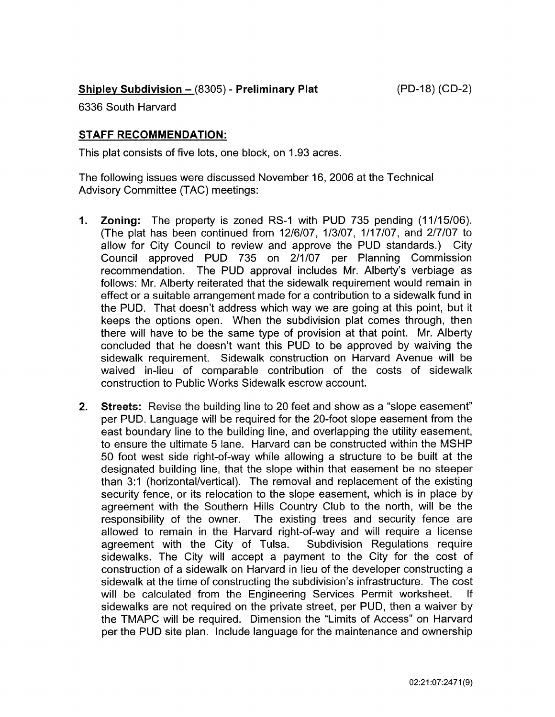(PD-18) (CD-2)

# Shipley Subdivision - (8305) - Preliminary Plat

6336 South Harvard

# STAFF RECOMMENDATION:

This plat consists of five lots, one block, on 1.93 acres.

The following issues were discussed November 16, 2006 at the Technical Advisory Committee (TAG) meetings:

- 1. Zoning: The property is zoned RS-1 with PUD 735 pending (11/15/06). (The plat has been continued from 12/6/07, 1/3/07, 1/17/07, and 2/7/07 to allow for City Council to review and approve the PUD standards.) City Council approved PUD 735 on 2/1/07 per Planning Commission recommendation. The PUD approval includes Mr. Alberty's verbiage as follows: Mr. Alberty reiterated that the sidewalk requirement would remain in effect or a suitable arrangement made for a contribution to a sidewalk fund in the PUD. That doesn't address which way we are going at this point, but it keeps the options open. When the subdivision plat comes through, then there will have to be the same type of provision at that point. Mr. Alberty concluded that he doesn't want this PUD to be approved by waiving the sidewalk requirement. Sidewalk construction on Harvard Avenue will be waived in-lieu of comparable contribution of the costs of sidewalk construction to Public Works Sidewalk escrow account.
- 2. Streets: Revise the building line to 20 feet and show as a "slope easement" per PUD. Language will be required for the 20-foot slope easement from the east boundary line to the building line, and overlapping the utility easement, to ensure the ultimate 5 lane. Harvard can be constructed within the MSHP 50 foot west side right-of-way while allowing a structure to be built at the designated building line, that the slope within that easement be no steeper than 3:1 (horizontal/vertical). The removal and replacement of the existing security fence, or its relocation to the slope easement, which is in place by agreement with the Southern Hills Country Club to the north, will be the responsibility of the owner. The existing trees and security fence are allowed to remain in the Harvard right-of-way and will require a license agreement with the City of Tulsa. Subdivision Regulations require sidewalks. The City will accept a payment to the City for the cost of construction of a sidewalk on Harvard in lieu of the developer constructing a sidewalk at the time of constructing the subdivision's infrastructure. The cost will be calculated from the Engineering Services Permit worksheet. If sidewalks are not required on the private street, per PUD, then a waiver by the TMAPC will be required. Dimension the "Limits of Access" on Harvard per the PUD site plan. Include language for the maintenance and ownership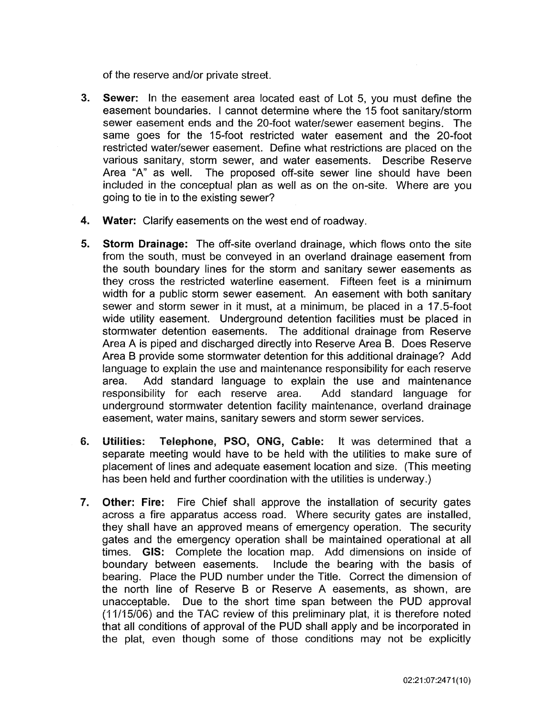of the reserve and/or private street.

- 3. Sewer: In the easement area located east of Lot 5, you must define the easement boundaries. I cannot determine where the 15 foot sanitary/storm sewer easement ends and the 20-foot water/sewer easement begins. The same goes for the 15-foot restricted water easement and the 20-foot restricted water/sewer easement. Define what restrictions are placed on the various sanitary, storm sewer, and water easements. Describe Reserve Area "A" as well. The proposed off-site sewer line should have been included in the conceptual plan as well as on the on-site. Where are you going to tie in to the existing sewer?
- 4. Water: Clarify easements on the west end of roadway.
- 5. Storm Drainage: The off-site overland drainage, which flows onto the site from the south, must be conveyed in an overland drainage easement from the south boundary lines for the storm and sanitary sewer easements as they cross the restricted waterline easement. Fifteen feet is a minimum width for a public storm sewer easement. An easement with both sanitary sewer and storm sewer in it must, at a minimum, be placed in a 17.5-foot wide utility easement. Underground detention facilities must be placed in stormwater detention easements. The additional drainage from Reserve Area A is piped and discharged directly into Reserve Area B. Does Reserve Area B provide some stormwater detention for this additional drainage? Add language to explain the use and maintenance responsibility for each reserve area. Add standard language to explain the use and maintenance responsibility for each reserve area. Add standard language for underground stormwater detention facility maintenance, overland drainage easement, water mains, sanitary sewers and storm sewer services.
- 6. Utilities: Telephone, PSO, ONG, Cabie: it was determined that a separate meeting would have to be held with the utilities to make sure of placement of lines and adequate easement location and size. (This meeting has been held and further coordination with the utilities is underway.)
- 7. Other: Fire: Fire Chief shall approve the installation of security gates across a fire apparatus access road. Where security gates are installed, they shall have an approved means of emergency operation. The security gates and the emergency operation shall be maintained operational at all times. GIS: Complete the location map. Add dimensions on inside of boundary between easements. Include the bearing with the basis of bearing. Place the PUD number under the Title. Correct the dimension of the north line of Reserve B or Reserve A easements, as shown, are unacceptable. Due to the short time span between the PUD approval (11/15/06) and the TAC review of this preliminary plat, it is therefore noted that all conditions of approval of the PUD shall apply and be incorporated in the plat, even though some of those conditions may not be explicitly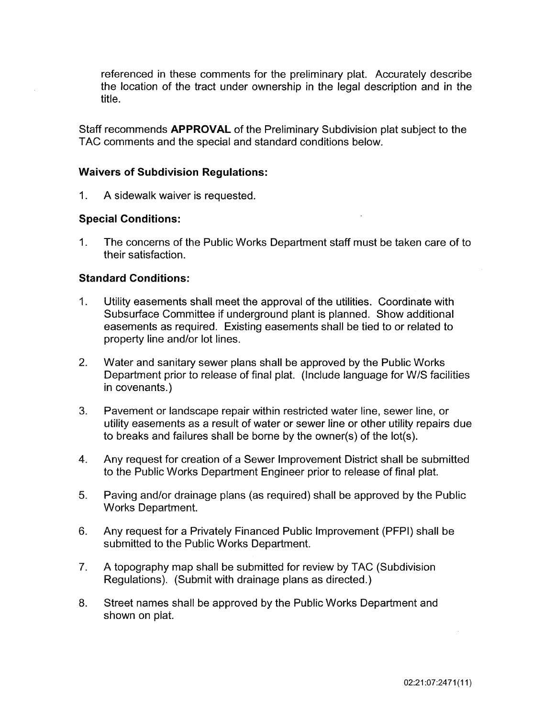referenced in these comments for the preliminary plat. Accurately describe the location of the tract under ownership in the legal description and in the title.

Staff recommends APPROVAL of the Preliminary Subdivision plat subject to the TAC comments and the special and standard conditions below.

### Waivers of Subdivision Regulations:

1. A sidewalk waiver is requested.

### Special Conditions:

1. The concerns of the Public Works Department staff must be taken care of to their satisfaction.

### Standard Conditions:

- 1. Utility easements shall meet the approval of the utilities. Coordinate with Subsurface Committee if underground plant is planned. Show additional easements as required. Existing easements shall be tied to or related to property line and/or lot lines.
- 2. Water and sanitary sewer plans shall be approved by the Public Works Department prior to release of final plat. (Include language for W/S facilities in covenants.)
- 3. Pavement or landscape repair within restricted water line, sewer line, or utility easements as a result of water or sewer line or other utility repairs due to breaks and failures shall be borne by the owner(s) of the lot(s).
- 4. Any request for creation of a Sewer Improvement District shall be submitted to the Public Works Department Engineer prior to release of final plat.
- 5. Paving and/or drainage plans (as required) shall be approved by the Public Works Department.
- 6. Any request for a Privately Financed Public Improvement (PFPI) shall be submitted to the Public Works Department.
- 7. A topography map shall be submitted for review by TAC (Subdivision Regulations). (Submit with drainage plans as directed.)
- 8. Street names shall be approved by the Public Works Department and shown on plat.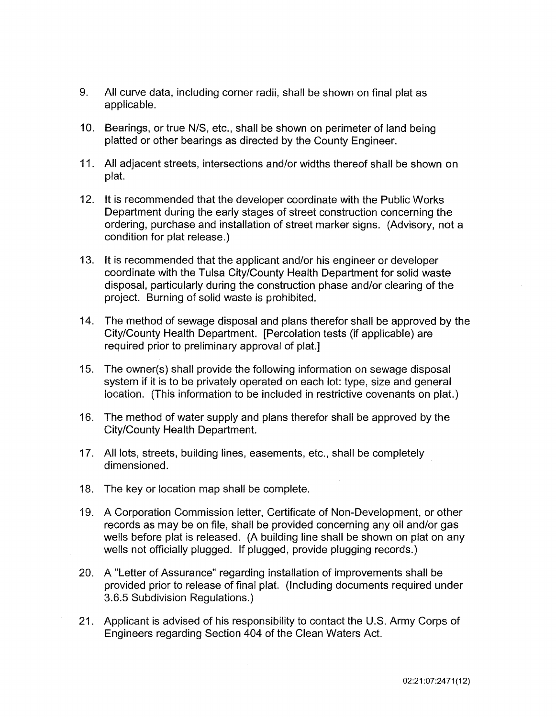- 9. All curve data, including corner radii, shall be shown on final plat as applicable.
- 10. Bearings, or true N/S, etc., shall be shown on perimeter of land being platted or other bearings as directed by the County Engineer.
- 11. All adjacent streets, intersections and/or widths thereof shall be shown on plat.
- 12. It is recommended that the developer coordinate with the Public Works Department during the eariy stages of street construction concerning the ordering, purchase and installation of street marker signs. (Advisory, not a condition for plat release.)
- 13. It is recommended that the applicant and/or his engineer or developer coordinate with the Tulsa City/County Health Department for solid waste disposal, particularly during the construction phase and/or clearing of the project. Burning of solid waste is prohibited.
- 14. The method of sewage disposal and plans therefor shall be approved by the City/County Health Department. [Percolation tests (if applicable) are required prior to preliminary approval of plat.]
- 15. The owner(s) shall provide the following information on sewage disposal system if it is to be privately operated on each lot: type, size and general location. (This information to be included in restrictive covenants on plat.)
- 16. The method of water supply and plans therefor shall be approved by the City/County Health Department.
- 17. All lots, streets, building lines, easements, etc., shall be completely dimensioned.
- 18. The key or location map shall be complete.
- 19. A Corporation Commission letter, Certificate of Non-Development, or other records as may be on file, shall be provided concerning any oil and/or gas wells before plat is released. (A building line shall be shown on plat on any wells not officially plugged. If plugged, provide plugging records.)
- 20. A "Letter of Assurance" regarding installation of improvements shall be provided prior to release of final plat. (Including documents required under 3.6.5 Subdivision Regulations.)
- 21. Applicant is advised of his responsibility to contact the U.S. Army Corps of Engineers regarding Section 404 of the Clean Waters Act.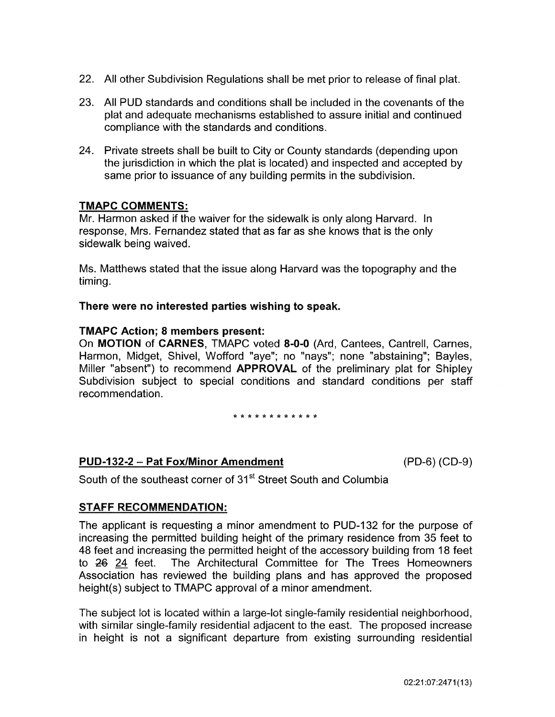- 22. All other Subdivision Regulations shall be met prior to release of final plat.
- 23. All PUD standards and conditions shall be included in the covenants of the plat and adequate mechanisms established to assure initial and continued compliance with the standards and conditions.
- 24. Private streets shall be built to City or County standards (depending upon the jurisdiction in which the plat is located) and inspected and accepted by same prior to issuance of any building permits in the subdivision.

Mr. Harmon asked if the waiver for the sidewalk is only along Harvard. In response, Mrs. Fernandez stated that as far as she knows that is the only sidewalk being waived.

Ms. Matthews stated that the issue along Harvard was the topography and the timing.

#### There were no interested parties wishing to speak.

#### TMAPC Action; 8 members present:

On MOTION of CARNES, TMAPC voted 8-0-0 (Ard, Cantees, Cantrell, Carnes, Harmon, Midget, Shivel, Wofford "aye"; no "nays"; none "abstaining"; Bayles, Miller "absent") to recommend APPROVAL of the preliminary plat for Shipley Subdivision subject to special conditions and standard conditions per staff recommendation.

\* \* \* \* \* \* \* \* \* \* \* \*

### PUD-132-2 - Pat Fox/Minor Amendment (PD-6) (CD-9)

South of the southeast corner of 31<sup>st</sup> Street South and Columbia

### STAFF RECOMMENDATION:

The applicant is requesting a minor amendment to PUD-132 for the purpose of increasing the permitted building height of the primary residence from 35 feet to 48 feet and increasing the permitted height of the accessory building from 18 feet to 26 24 feet. The Architectural Committee for The Trees Homeowners Association has reviewed the building plans and has approved the proposed height(s) subject to TMAPC approval of a minor amendment.

The subject lot is located within a large-lot single-family residential neighborhood, with similar single-family residential adjacent to the east. The proposed increase in height is not a significant departure from existing surrounding residential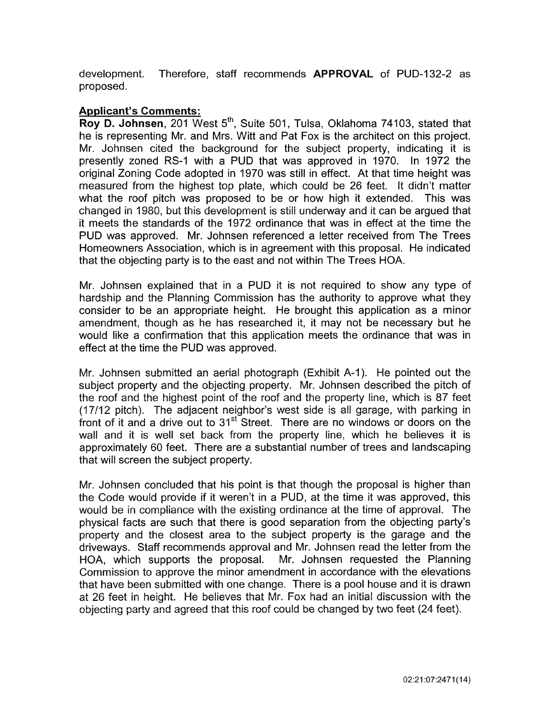development. Therefore, staff recommends APPROVAL of PUD-132-2 as proposed.

### Applicant's Comments:

Roy D. Johnsen, 201 West 5<sup>th</sup>, Suite 501, Tulsa, Oklahoma 74103, stated that he is representing Mr. and Mrs. Witt and Pat Fox is the architect on this project. Mr. Johnsen cited the background for the subject property, indicating it is presently zoned RS-1 with a PUD that was approved in 1970. In 1972 the original Zoning Code adopted in 1970 was still in effect. At that time height was measured from the highest top plate, which could be 26 feet. It didn't matter what the roof pitch was proposed to be or how high it extended. This was changed in 1980, but this development is stili underway and it can be argued that it meets the standards of the 1972 ordinance that was in effect at the time the PUD was approved. Mr. Johnsen referenced a letter received from The Trees Homeowners Association, which is in agreement with this proposal. He indicated that the objecting party is to the east and not within The Trees HOA.

Mr. Johnsen explained that in a PUD it is not required to show any type of hardship and the Planning Commission has the authority to approve what they consider to be an appropriate height. He brought this application as a minor amendment, though as he has researched it, it may not be necessary but he would like a confirmation that this application meets the ordinance that was in effect at the time the PUD was approved.

Mr. Johnsen submitted an aerial photograph (Exhibit A-1 ). He pointed out the subject property and the objecting property. Mr. Johnsen described the pitch of the roof and the highest point of the roof and the property line, which is 87 feet  $(17/12 \text{ pitch})$ . The adjacent neighbor's west side is all garage, with parking in front of it and a drive out to  $31<sup>st</sup>$  Street. There are no windows or doors on the wall and it is well set back from the property line, which he believes it is approximately 60 feet. There are a substantial number of trees and landscaping that will screen the subject property.

Mr. Johnsen concluded that his point is that though the proposal is higher than the Code would provide if it weren't in a PUD, at the time it was approved, this would be in compliance with the existing ordinance at the time of approval. The physical facts are such that there is good separation from the objecting party's property and the closest area to the subject property is the garage and the driveways. Staff recommends approval and Mr. Johnsen read the letter from the HOA, which supports the proposal. Mr. Johnsen requested the Planning Commission to approve the minor amendment in accordance with the elevations that have been submitted with one change. There is a pool house and it is drawn at 26 feet in height. He believes that Mr. Fox had an initial discussion with the objecting party and agreed that this roof could be changed by two feet (24 feet).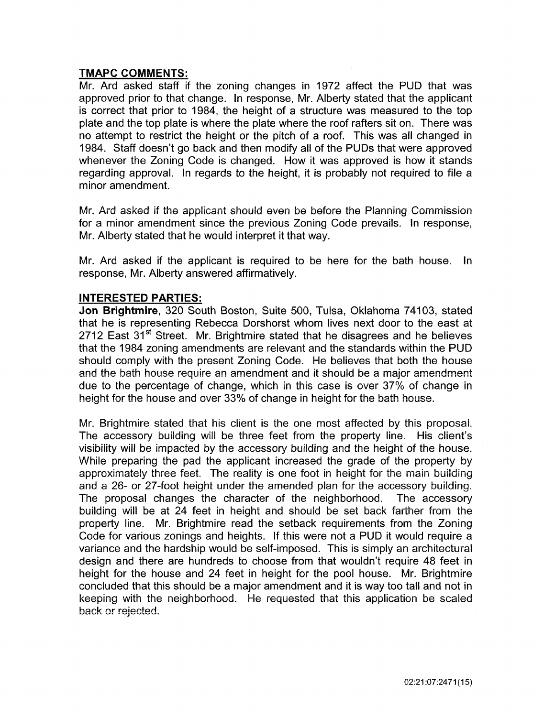Mr. Ard asked staff if the zoning changes in 1972 affect the PUD that was approved prior to that change. In response, Mr. Alberty stated that the applicant is correct that prior to 1984, the height of a structure was measured to the top plate and the top plate is where the plate where the roof rafters sit on. There was no attempt to restrict the height or the pitch of a roof. This was all changed in 1984. Staff doesn't go back and then modify all of the PUDs that were approved whenever the Zoning Code is changed. How it was approved is how it stands regarding approval. In regards to the height, it is probably not required to file a minor amendment.

Mr. Ard asked if the applicant should even be before the Planning Commission for a minor amendment since the previous Zoning Code prevails. In response, Mr. Alberty stated that he would interpret it that way.

Mr. Ard asked if the applicant is required to be here for the bath house. In response, Mr. Alberty answered affirmatively.

### INTERESTED PARTIES:

Jon Brightmire, 320 South Boston, Suite 500, Tulsa, Oklahoma 74103, stated that he is representing Rebecca Dorshorst whom lives next door to the east at 2712 East 31<sup>st</sup> Street. Mr. Brightmire stated that he disagrees and he believes that the 1984 zoning amendments are relevant and the standards within the PUD should comply with the present Zoning Code. He believes that both the house and the bath house require an amendment and it should be a major amendment due to the percentage of change, which in this case is over 37% of change in height for the house and over 33% of change in height for the bath house.

Mr. Brightmire stated that his client is the one most affected by this proposal. The accessory building will be three feet from the property line. His client's visibility wiil be impacted by the accessory building and the height of the house. While preparing the pad the applicant increased the grade of the property by approximately three feet. The reality is one foot in height for the main building and a 26- or 27 -foot height under the amended plan for the accessory building. The proposal changes the character of the neighborhood. The accessory building will be at 24 feet in height and should be set back farther from the property line. Mr. Brightmire read the setback requirements from the Zoning Code for various zonings and heights. If this were not a PUD it would require a variance and the hardship would be self-imposed. This is simply an architectural design and there are hundreds to choose from that wouldn't require 48 feet in height for the house and 24 feet in height for the pool house. Mr. Brightmire concluded that this should be a major amendment and it is way too tall and not in keeping with the neighborhood. He requested that this application be scaled back or rejected.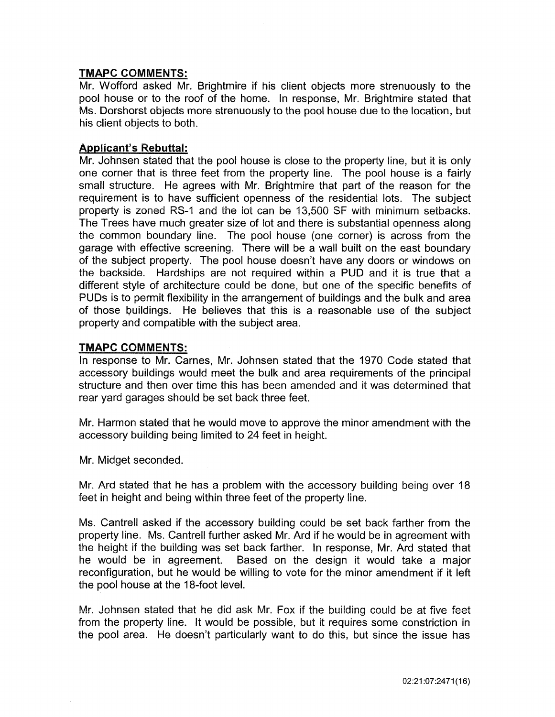Mr. Wofford asked Mr. Brightmire if his client objects more strenuously to the pool house or to the roof of the home. In response, Mr. Brightmire stated that Ms. Dorshorst objects more strenuously to the pool house due to the location, but his client objects to both.

### Applicant's Rebuttal:

Mr. Johnsen stated that the pool house is close to the property line, but it is only one corner that is three feet from the property line. The pool house is a fairly small structure. He agrees with Mr. Brightmire that part of the reason for the requirement is to have sufficient openness of the residential lots. The subject property is zoned RS-1 and the iot can be 13,500 SF with minimum setbacks. The Trees have much greater size of lot and there is substantial openness along the common boundary line. The pool house (one corner) is across from the garage with effective screening. There will be a wall built on the east boundary of the subject property. The pool house doesn't have any doors or windows on the backside. Hardships are not required within a PUD and it is true that a different style of architecture could be done, but one of the specific benefits of PUDs is to permit flexibility in the arrangement of buildings and the bulk and area of those buildings. He believes that this is a reasonable use of the subject property and compatible with the subject area.

### TMAPC COMMENTS:

In response to Mr. Carnes, Mr. Johnsen stated that the 1970 Code stated that  $\alpha$  accessory buildings would meet the bulk and area requirements of the principal structure and then over time this has been amended and it was determined that rear yard garages should be set back three feet.

Mr. Harmon stated that he would move to approve the minor amendment with the accessory building being limited to 24 feet in height.

Mr. Midget seconded.

Mr. Ard stated that he has a problem with the accessory building being over 18 feet in height and being within three feet of the property line.

Ms. Cantrell asked if the accessory building could be set back farther from the property line. Ms. Cantrell further asked Mr. Ard if he would be in agreement with the height if the building was set back farther. In response, Mr. Ard stated that he would be in agreement. Based on the design it would take a major reconfiguration, but he would be willing to vote for the minor amendment if it left the pool house at the 18-foot level.

Mr. Johnsen stated that he did ask Mr. Fox if the building could be at five feet from the property line. It would be possible, but it requires some constriction in the pool area. He doesn't particularly want to do this, but since the issue has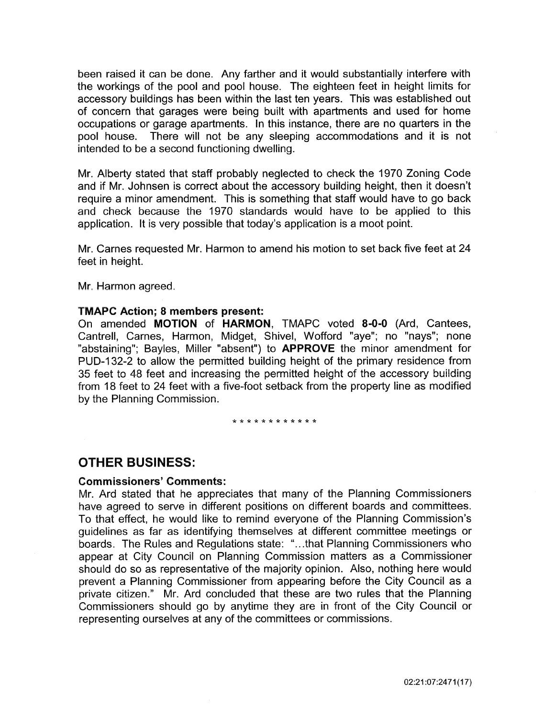been raised it can be done. Any farther and it would substantially interfere with the workings of the pool and pool house. The eighteen feet in height limits for accessory buildings has been within the last ten years. This was established out of concern that garages were being built with apartments and used for home occupations or garage apartments. In this instance, there are no quarters in the pool house. There will not be any sleeping accommodations and it is not intended to be a second functioning dwelling.

Mr. Alberty stated that staff probably neglected to check the 1970 Zoning Code and if Mr. Johnsen is correct about the accessory building height, then it doesn't require a minor amendment. This is something that staff would have to go back and check because the 1970 standards would have to be applied to this application. It is very possible that today's application is a moot point.

Mr. Carnes requested Mr. Harmon to amend his motion to set back five feet at 24 feet in height.

Mr. Harmon agreed.

#### TMAPC Action; 8 members present:

On amended MOTION of HARMON, TMAPC voted 8-0-0 (Ard, Cantees, Cantrell, Carnes, Harmon, Midget, Shivel, Wofford "aye"; no "nays"; none "abstaining"; Bayles, Miller "absent") to **APPROVE** the minor amendment for PUD-132-2 to allow the permitted building height of the primary residence from 35 feet to 48 feet and increasing the permitted height of the accessory building from 18 feet to 24 feet with a five-foot setback from the property line as modified by the Planning Commission.

\*\*\*\*\*\*\*\*\*\*\*

### OTHER BUSINESS:

#### Commissioners' Comments:

Mr. Ard stated that he appreciates that many of the Planning Commissioners have agreed to serve in different positions on different boards and committees. To that effect, he would like to remind everyone of the Planning Commission's guidelines as far as identifying themselves at different committee meetings or boards. The Rules and Regulations state: " ... that Planning Commissioners who appear at City Council on Planning Commission matters as a Commissioner should do so as representative of the majority opinion. Also, nothing here would prevent a Planning Commissioner from appearing before the City Council as a private citizen." Mr. Ard concluded that these are two rules that the Planning Commissioners should go by anytime they are in front of the City Council or representing ourselves at any of the committees or commissions.